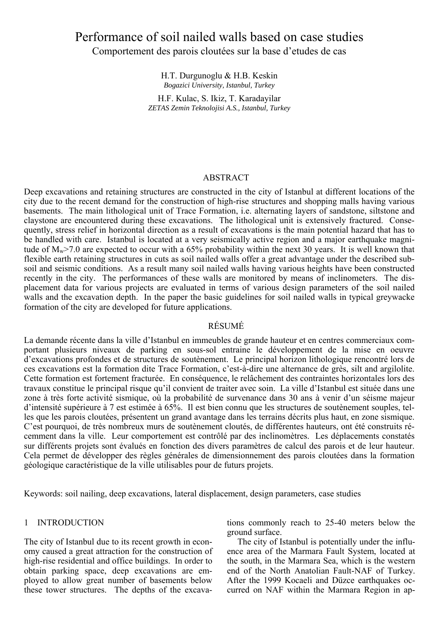# Performance of soil nailed walls based on case studies Comportement des parois cloutées sur la base d'etudes de cas

H.T. Durgunoglu & H.B. Keskin *Bogazici University, Istanbul, Turkey* 

H.F. Kulac, S. Ikiz, T. Karadayilar *ZETAS Zemin Teknolojisi A.S., Istanbul, Turkey* 

## ABSTRACT

Deep excavations and retaining structures are constructed in the city of Istanbul at different locations of the city due to the recent demand for the construction of high-rise structures and shopping malls having various basements. The main lithological unit of Trace Formation, i.e. alternating layers of sandstone, siltstone and claystone are encountered during these excavations. The lithological unit is extensively fractured. Consequently, stress relief in horizontal direction as a result of excavations is the main potential hazard that has to be handled with care. Istanbul is located at a very seismically active region and a major earthquake magnitude of  $M_w$ >7.0 are expected to occur with a 65% probability within the next 30 years. It is well known that flexible earth retaining structures in cuts as soil nailed walls offer a great advantage under the described subsoil and seismic conditions. As a result many soil nailed walls having various heights have been constructed recently in the city. The performances of these walls are monitored by means of inclinometers. The displacement data for various projects are evaluated in terms of various design parameters of the soil nailed walls and the excavation depth. In the paper the basic guidelines for soil nailed walls in typical greywacke formation of the city are developed for future applications.

# RÉSUMÉ

La demande récente dans la ville d'Istanbul en immeubles de grande hauteur et en centres commerciaux comportant plusieurs niveaux de parking en sous-sol entraine le développement de la mise en oeuvre d'excavations profondes et de structures de soutènement. Le principal horizon lithologique rencontré lors de ces excavations est la formation dite Trace Formation, c'est-à-dire une alternance de grès, silt and argilolite. Cette formation est fortement fracturée. En conséquence, le relâchement des contraintes horizontales lors des travaux constitue le principal risque qu'il convient de traiter avec soin. La ville d'Istanbul est située dans une zone à très forte activité sismique, où la probabilité de survenance dans 30 ans à venir d'un séisme majeur d'intensité supérieure à 7 est estimée à 65%. Il est bien connu que les structures de soutènement souples, telles que les parois cloutées, présentent un grand avantage dans les terrains décrits plus haut, en zone sismique. C'est pourquoi, de très nombreux murs de soutènement cloutés, de différentes hauteurs, ont été construits récemment dans la ville. Leur comportement est contrôlé par des inclinomètres. Les déplacements constatés sur différents projets sont évalués en fonction des divers paramètres de calcul des parois et de leur hauteur. Cela permet de développer des règles générales de dimensionnement des parois cloutées dans la formation géologique caractéristique de la ville utilisables pour de futurs projets.

Keywords: soil nailing, deep excavations, lateral displacement, design parameters, case studies

## 1 INTRODUCTION

The city of Istanbul due to its recent growth in economy caused a great attraction for the construction of high-rise residential and office buildings. In order to obtain parking space, deep excavations are employed to allow great number of basements below these tower structures. The depths of the excavations commonly reach to 25-40 meters below the ground surface.

The city of Istanbul is potentially under the influence area of the Marmara Fault System, located at the south, in the Marmara Sea, which is the western end of the North Anatolian Fault-NAF of Turkey. After the 1999 Kocaeli and Düzce earthquakes occurred on NAF within the Marmara Region in ap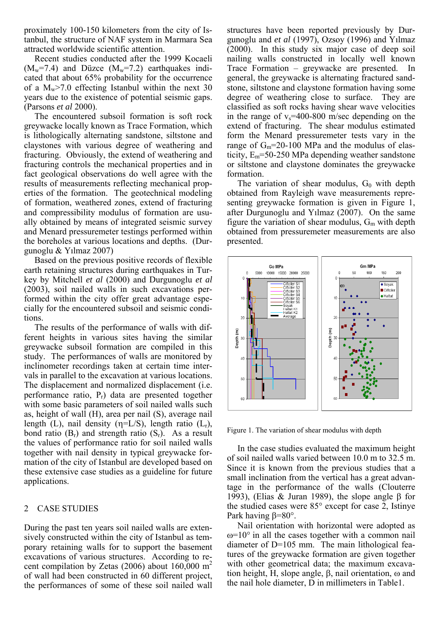proximately 100-150 kilometers from the city of Istanbul, the structure of NAF system in Marmara Sea attracted worldwide scientific attention.

Recent studies conducted after the 1999 Kocaeli  $(M_w=7.4)$  and Düzce  $(M_w=7.2)$  earthquakes indicated that about 65% probability for the occurrence of a  $M_w$  >7.0 effecting Istanbul within the next 30 years due to the existence of potential seismic gaps. (Parsons *et al* 2000).

The encountered subsoil formation is soft rock greywacke locally known as Trace Formation, which is lithologically alternating sandstone, siltstone and claystones with various degree of weathering and fracturing. Obviously, the extend of weathering and fracturing controls the mechanical properties and in fact geological observations do well agree with the results of measurements reflecting mechanical properties of the formation. The geotechnical modeling of formation, weathered zones, extend of fracturing and compressibility modulus of formation are usually obtained by means of integrated seismic survey and Menard pressuremeter testings performed within the boreholes at various locations and depths. (Durgunoglu & Yılmaz 2007)

Based on the previous positive records of flexible earth retaining structures during earthquakes in Turkey by Mitchell *et al* (2000) and Durgunoglu *et al*  (2003), soil nailed walls in such excavations performed within the city offer great advantage especially for the encountered subsoil and seismic conditions.

The results of the performance of walls with different heights in various sites having the similar greywacke subsoil formation are compiled in this study. The performances of walls are monitored by inclinometer recordings taken at certain time intervals in parallel to the excavation at various locations. The displacement and normalized displacement (i.e. performance ratio,  $P_r$ ) data are presented together with some basic parameters of soil nailed walls such as, height of wall (H), area per nail (S), average nail length (L), nail density ( $\eta = L/S$ ), length ratio (L<sub>r</sub>), bond ratio  $(B_r)$  and strength ratio  $(S_r)$ . As a result the values of performance ratio for soil nailed walls together with nail density in typical greywacke formation of the city of Istanbul are developed based on these extensive case studies as a guideline for future applications.

## 2 CASE STUDIES

During the past ten years soil nailed walls are extensively constructed within the city of Istanbul as temporary retaining walls for to support the basement excavations of various structures. According to recent compilation by Zetas (2006) about 160,000  $m<sup>2</sup>$ of wall had been constructed in 60 different project, the performances of some of these soil nailed wall

structures have been reported previously by Durgunoglu and *et al* (1997), Ozsoy (1996) and Yılmaz (2000). In this study six major case of deep soil nailing walls constructed in locally well known Trace Formation – greywacke are presented. In general, the greywacke is alternating fractured sandstone, siltstone and claystone formation having some degree of weathering close to surface. They are classified as soft rocks having shear wave velocities in the range of  $v_s$ =400-800 m/sec depending on the extend of fracturing. The shear modulus estimated form the Menard pressuremeter tests vary in the range of  $G_m$ =20-100 MPa and the modulus of elasticity,  $E_m$ =50-250 MPa depending weather sandstone or siltstone and claystone dominates the greywacke formation.

The variation of shear modulus,  $G_0$  with depth obtained from Rayleigh wave measurements representing greywacke formation is given in Figure 1, after Durgunoglu and Yılmaz (2007). On the same figure the variation of shear modulus,  $G<sub>m</sub>$  with depth obtained from pressuremeter measurements are also presented.



Figure 1. The variation of shear modulus with depth

In the case studies evaluated the maximum height of soil nailed walls varied between 10.0 m to 32.5 m. Since it is known from the previous studies that a small inclination from the vertical has a great advantage in the performance of the walls (Clouterre 1993), (Elias & Juran 1989), the slope angle β for the studied cases were 85° except for case 2, Istinye Park having β=80°.

Nail orientation with horizontal were adopted as  $\omega$ =10° in all the cases together with a common nail diameter of D=105 mm. The main lithological features of the greywacke formation are given together with other geometrical data; the maximum excavation height, H, slope angle, β, nail orientation, ω and the nail hole diameter, D in millimeters in Table1.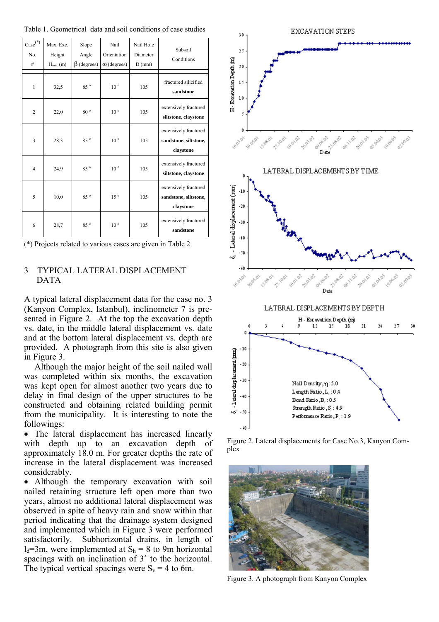Table 1. Geometrical data and soil conditions of case studies

| $\mathop{\rm Case}\nolimits^{(*)}$<br>No.<br># | Max. Exc.<br>Height<br>$H_{\text{max}}(m)$ | Slope<br>Angle<br>$\beta$ (degrees) | Nail<br>Orientation<br>$\omega$ (degrees) | Nail Hole<br>Diameter<br>$D$ (mm) | Subsoil<br>Conditions                                       |
|------------------------------------------------|--------------------------------------------|-------------------------------------|-------------------------------------------|-----------------------------------|-------------------------------------------------------------|
| $\mathbf{1}$                                   | 32,5                                       | 85°                                 | 10 <sup>o</sup>                           | 105                               | fractured silicified<br>sandstone                           |
| $\overline{2}$                                 | 22,0                                       | $80^{\circ}$                        | 10 <sup>o</sup>                           | 105                               | extensively fractured<br>siltstone, claystone               |
| $\overline{\mathbf{3}}$                        | 28,3                                       | 85°                                 | $10^{\circ}$                              | 105                               | extensively fractured<br>sandstone, siltstone,<br>claystone |
| $\overline{4}$                                 | 24,9                                       | 85°                                 | $10^{\circ}$                              | 105                               | extensively fractured<br>siltstone, claystone               |
| 5                                              | 10,0                                       | 85°                                 | 15 <sup>o</sup>                           | 105                               | extensively fractured<br>sandstone, siltstone,<br>claystone |
| 6                                              | 28,7                                       | 85°                                 | $10^{\circ}$                              | 105                               | extensively fractured<br>sandstone                          |

(\*) Projects related to various cases are given in Table 2.

# 3 TYPICAL LATERAL DISPLACEMENT DATA

A typical lateral displacement data for the case no. 3 (Kanyon Complex, Istanbul), inclinometer 7 is presented in Figure 2. At the top the excavation depth vs. date, in the middle lateral displacement vs. date and at the bottom lateral displacement vs. depth are provided. A photograph from this site is also given in Figure 3.

Although the major height of the soil nailed wall was completed within six months, the excavation was kept open for almost another two years due to delay in final design of the upper structures to be constructed and obtaining related building permit from the municipality. It is interesting to note the followings:

• The lateral displacement has increased linearly with depth up to an excavation depth of approximately 18.0 m. For greater depths the rate of increase in the lateral displacement was increased considerably.

• Although the temporary excavation with soil nailed retaining structure left open more than two years, almost no additional lateral displacement was observed in spite of heavy rain and snow within that period indicating that the drainage system designed and implemented which in Figure 3 were performed satisfactorily. Subhorizontal drains, in length of  $l_d=3m$ , were implemented at  $S_h = 8$  to 9m horizontal spacings with an inclination of 3˚ to the horizontal. The typical vertical spacings were  $S_v = 4$  to 6m.



Figure 2. Lateral displacements for Case No.3, Kanyon Complex



Figure 3. A photograph from Kanyon Complex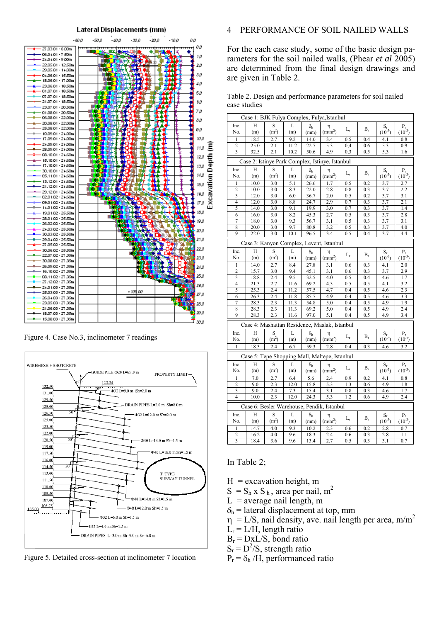

Figure 4. Case No.3, inclinometer 7 readings



Figure 5. Detailed cross-section at inclinometer 7 location

# 4 PERFORMANCE OF SOIL NAILED WALLS

For the each case study, some of the basic design parameters for the soil nailed walls, (Phear *et al* 2005) are determined from the final design drawings and are given in Table 2.

Table 2. Design and performance parameters for soil nailed case studies

| Case 1: BJK Fulya Complex, Fulya, Istanbul      |      |                                                   |      |                  |                                               |             |       |                           |                  |  |  |  |  |  |
|-------------------------------------------------|------|---------------------------------------------------|------|------------------|-----------------------------------------------|-------------|-------|---------------------------|------------------|--|--|--|--|--|
| Inc.                                            | Н    | S<br>L<br>$S_r$<br>$P_r$<br>$\delta_{\rm h}$<br>η |      |                  |                                               |             |       |                           |                  |  |  |  |  |  |
| No.                                             | (m)  | (m <sup>2</sup> )                                 | (m)  | (mm)             | (m/m <sup>2</sup> )                           | $L_{\rm r}$ | $B_r$ | $(10^{-3})$               | $(10^{-3})$      |  |  |  |  |  |
| $\mathbf{1}$                                    | 18.5 | 2.7                                               | 9.2  | 14.0             | 3.4                                           | 0.5         | 0.4   | 4.1                       | 0.8              |  |  |  |  |  |
| $\overline{c}$                                  | 25.0 | 2.1                                               | 11.2 | 22.7             | 5.3                                           | 0,4         | 0.6   | 5.3                       | $_{0.9}$         |  |  |  |  |  |
| 3                                               | 32.5 | 2.1                                               | 10.2 | 50.6             | 4.9                                           | 0,3         | 0.5   | 5.3                       | 1.6              |  |  |  |  |  |
|                                                 |      |                                                   |      |                  |                                               |             |       |                           |                  |  |  |  |  |  |
| Case 2: Istinye Park Complex, Istinye, Istanbul |      |                                                   |      |                  |                                               |             |       |                           |                  |  |  |  |  |  |
| Inc.                                            | H    | S                                                 | L    | $\delta_{\rm h}$ | η                                             |             | $B_r$ | $S_r$                     | $P_r$            |  |  |  |  |  |
| No.                                             | (m)  | (m <sup>2</sup> )                                 | (m)  | (mm)             | (m/m <sup>2</sup> )                           | L,          |       | $(10^{-3})$               | $(10^{-3})$      |  |  |  |  |  |
| 1                                               | 10.0 | 3.0                                               | 5.1  | 26.6             | 1.7                                           | 0.5         | 0.2   | 3.7                       | 2.7              |  |  |  |  |  |
| $\overline{c}$                                  | 10.0 | 3.0                                               | 8.3  | 22.0             | 2.8                                           | 0.8         | 0.3   | 3.7                       | 2.2              |  |  |  |  |  |
| 3                                               | 12.0 | 3.0                                               | 6.0  | 36.7             | 2.0                                           | 0.5         | 0.2   | 3.7                       | 3.1              |  |  |  |  |  |
| $\overline{4}$                                  | 12.0 | 3.0                                               | 8.8  | 24.7             | 2.9                                           | 0.7         | 0.3   | 3.7                       | 2.1              |  |  |  |  |  |
| 5                                               | 14.0 | 3.0                                               | 9.1  | 19.9             | 3.0                                           | 0.7         | 0.3   | 3.7                       | 1.4              |  |  |  |  |  |
| 6                                               | 16.0 | 3.0                                               | 8.2  | 45.3             | 2.7                                           | 0.5         | 0.3   | 3.7                       | 2.8              |  |  |  |  |  |
| $\overline{7}$                                  | 18.0 | 3.0                                               | 9.3  | 56.7             | 3.1                                           | 0.5         | 0.3   | 3.7                       | 3.1              |  |  |  |  |  |
| 8                                               | 20.0 | 3.0                                               | 9.7  | 80.8             | 3.2                                           | 0.5         | 0.3   | 3.7                       | 4.0              |  |  |  |  |  |
| 9                                               | 22.0 | 3.0                                               | 10.1 | 96.5             | 3.4                                           | 0.5         | 0.4   | 3.7                       | 4.4              |  |  |  |  |  |
|                                                 |      |                                                   |      |                  | Case 3: Kanyon Complex, Levent, Istanbul      |             |       |                           |                  |  |  |  |  |  |
|                                                 |      |                                                   |      |                  |                                               |             |       |                           |                  |  |  |  |  |  |
| Inc.                                            | Н    | S                                                 | L    | $\delta_{\rm h}$ | η                                             | $L_{\rm r}$ | $B_r$ | $S_r$                     | $P_r$            |  |  |  |  |  |
| No.                                             | (m)  | (m <sup>2</sup> )                                 | (m)  | (mm)             | (m/m <sup>2</sup> )                           |             |       | $(10^{-3})$               | $(10^{-3})$      |  |  |  |  |  |
| 1                                               | 14.0 | 2.7                                               | 8.4  | 27.8             | 3.1                                           | 0.6         | 0.3   | 4.1                       | 2.0              |  |  |  |  |  |
| $\overline{c}$                                  | 15.7 | 3.0                                               | 9.4  | 45.1             | 3.1                                           | 0.6         | 0.3   | 3.7                       | 2.9              |  |  |  |  |  |
| 3                                               | 18.8 | 2.4                                               | 9.5  | 32.5             | 4.0                                           | 0.5         | 0.4   | 4.6                       | 1.7              |  |  |  |  |  |
| 4                                               | 21.3 | 2.7                                               | 11.6 | 69.2             | 4.3                                           | 0.5         | 0.5   | 4.1                       | 3.2              |  |  |  |  |  |
| 5                                               | 25.3 | 2.4                                               | 11.2 | 57.5             | 4.7                                           | 0.4         | 0.5   | 4.6                       | $\overline{2.3}$ |  |  |  |  |  |
| 6                                               | 26.3 | 2.4                                               | 11.8 | 85.7             | 49                                            | 0.4         | 0.5   | 4.6                       | 3.3              |  |  |  |  |  |
| 7                                               | 28.3 | 2.3                                               | 11.3 | 54.8             | 5.0                                           | 0.4         | 0.5   | 4.9                       | 1.9              |  |  |  |  |  |
| 8                                               | 28.3 | 2.3                                               | 11.3 | 69.2             | 5.0                                           | 0.4         | 0.5   | 4.9                       | 2.4              |  |  |  |  |  |
| 9                                               | 28.3 | 2.3                                               | 11.6 | 97.0             | 5.1                                           | 0.4         | 0.5   | 4.9                       | 3.4              |  |  |  |  |  |
|                                                 |      |                                                   |      |                  | Case 4: Mashattan Residence, Maslak, Istanbul |             |       |                           |                  |  |  |  |  |  |
| Inc.                                            | Н    | S                                                 | L    | $\delta_{\rm h}$ | η                                             |             |       | $\mathbf{S}_{\mathrm{r}}$ | $P_r$            |  |  |  |  |  |
| No.                                             | (m)  | (m <sup>2</sup> )                                 | (m)  | (mm)             | (m/m <sup>2</sup> )                           | $L_{\rm r}$ | $B_r$ | $(10^{-3})$               | $(10^{-3})$      |  |  |  |  |  |
| 1                                               | 18.3 | 2.4                                               | 6.7  | 59.3             | 2.8                                           | 0.4         | 0.3   | 4.6                       | 3.2              |  |  |  |  |  |
|                                                 |      |                                                   |      |                  |                                               |             |       |                           |                  |  |  |  |  |  |
|                                                 |      |                                                   |      |                  | Case 5: Tepe Shopping Mall, Maltepe, Istanbul |             |       |                           |                  |  |  |  |  |  |
| Inc.                                            | H    | S                                                 | L    | $\delta_{\rm h}$ | η                                             | $L_{r}$     | $B_r$ | $\mathbf{S}_{\mathrm{r}}$ | $P_r$            |  |  |  |  |  |
| No.                                             | (m)  | (m <sup>2</sup> )                                 | (m)  | (mm)             | (m/m <sup>2</sup> )                           |             |       | $(10^{-3})$               | $(10^{-3})$      |  |  |  |  |  |
| 1                                               | 7.0  | 2.7                                               | 6.4  | 5.6              | 2.4                                           | 0.9         | 0.2   | 4.1                       | $_{0.8}$         |  |  |  |  |  |
| $\overline{c}$                                  | 9.0  | 2.3                                               | 12.0 | 15.8             | 5.3                                           | 1.3         | 0.6   | 4.9                       | 1.8              |  |  |  |  |  |
| 3                                               | 9.0  | 2.4                                               | 7.3  | 15.4             | 3.1                                           | 0.8         | 0.3   | 4.6                       | 1.7              |  |  |  |  |  |
| $\overline{4}$                                  | 10.0 | 2.3                                               | 12.0 | 24.3             | 5.3                                           | 1.2         | 0.6   | 4.9                       | 2.4              |  |  |  |  |  |
| Case 6: Besler Warehouse, Pendik, Istanbul      |      |                                                   |      |                  |                                               |             |       |                           |                  |  |  |  |  |  |
| Inc.                                            | Н    | S                                                 | L    | $\delta_{\rm h}$ | η                                             |             |       | $\mathrm{S}_\mathrm{r}$   | $P_r$            |  |  |  |  |  |
| No.                                             | (m)  | (m <sup>2</sup> )                                 | (m)  | (mm)             | (m/m <sup>2</sup> )                           | $L_{\rm r}$ | $B_r$ | $(10^{-3})$               | $(10^{-3})$      |  |  |  |  |  |
| $\mathbf{1}$                                    | 14.7 | 4.0                                               | 9.3  | 10.2             | 2.3                                           | 0.6         | 0.2   | 2.8                       | 0.7              |  |  |  |  |  |
| $\overline{c}$                                  | 16.2 | 4.0                                               | 9.6  | 18.3             | 2.4                                           | 0.6         | 0.3   | 2.8                       | 1.1              |  |  |  |  |  |
| 3                                               | 18.4 | 3.6                                               | 9.6  | 13.4             | 2.7                                           | 0.5         | 0.3   | 3.1                       | 0.7              |  |  |  |  |  |
|                                                 |      |                                                   |      |                  |                                               |             |       |                           |                  |  |  |  |  |  |

#### In Table 2;

- $H =$  excavation height, m
- $S = S_h \times S_h$ , area per nail, m<sup>2</sup>
- $L =$  average nail length, m
- $\delta_h$  = lateral displacement at top, mm
- $\eta = L/S$ , nail density, ave. nail length per area, m/m<sup>2</sup>
- $L_r = L/H$ , length ratio
- $B_r = DxL/S$ , bond ratio
- $S_r = D^2/S$ , strength ratio
- $P_r = \delta_h / H$ , performanced ratio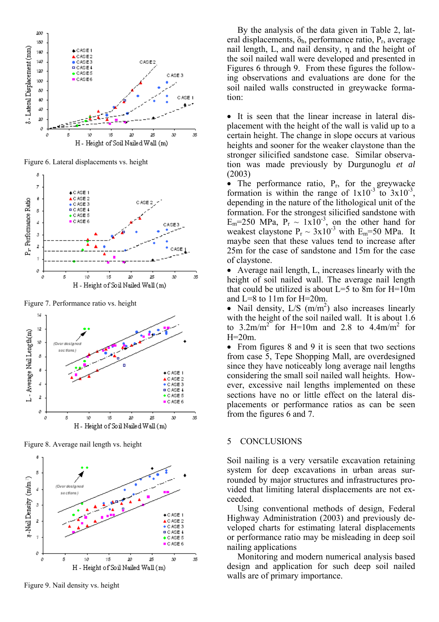

Figure 6. Lateral displacements vs. height



Figure 7. Performance ratio vs. height



Figure 8. Average nail length vs. height



Figure 9. Nail density vs. height

By the analysis of the data given in Table 2, lateral displacements,  $\delta_h$ , performance ratio,  $P_r$ , average nail length, L, and nail density, η and the height of the soil nailed wall were developed and presented in Figures 6 through 9. From these figures the following observations and evaluations are done for the soil nailed walls constructed in greywacke formation:

• It is seen that the linear increase in lateral displacement with the height of the wall is valid up to a certain height. The change in slope occurs at various heights and sooner for the weaker claystone than the stronger silicified sandstone case. Similar observation was made previously by Durgunoglu *et al* (2003)

• The performance ratio,  $P_r$ , for the greywacke formation is within the range of  $1x10^{-3}$  to  $3x10^{-3}$ . depending in the nature of the lithological unit of the formation. For the strongest silicified sandstone with  $E_m$ =250 MPa,  $P_r \sim 1x10^{-3}$ , on the other hand for weakest claystone  $P_r \sim 3x10^{-3}$  with  $E_m$ =50 MPa. It maybe seen that these values tend to increase after 25m for the case of sandstone and 15m for the case of claystone.

• Average nail length, L, increases linearly with the height of soil nailed wall. The average nail length that could be utilized is about  $L=5$  to 8m for  $H=10m$ and L=8 to 11m for H=20m.

• Nail density,  $L/S$  (m/m<sup>2</sup>) also increases linearly with the height of the soil nailed wall. It is about 1.6 to  $3.2 \text{m/m}^2$  for H=10m and 2.8 to  $4.4 \text{m/m}^2$  for  $H=20m$ .

• From figures 8 and 9 it is seen that two sections from case 5, Tepe Shopping Mall, are overdesigned since they have noticeably long average nail lengths considering the small soil nailed wall heights. However, excessive nail lengths implemented on these sections have no or little effect on the lateral displacements or performance ratios as can be seen from the figures 6 and 7.

# 5 CONCLUSIONS

Soil nailing is a very versatile excavation retaining system for deep excavations in urban areas surrounded by major structures and infrastructures provided that limiting lateral displacements are not exceeded.

Using conventional methods of design, Federal Highway Administration (2003) and previously developed charts for estimating lateral displacements or performance ratio may be misleading in deep soil nailing applications

Monitoring and modern numerical analysis based design and application for such deep soil nailed walls are of primary importance.